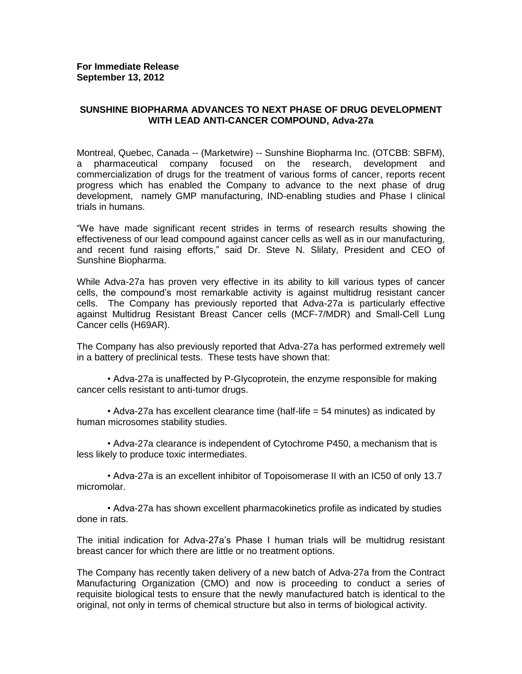## **SUNSHINE BIOPHARMA ADVANCES TO NEXT PHASE OF DRUG DEVELOPMENT WITH LEAD ANTI-CANCER COMPOUND, Adva-27a**

Montreal, Quebec, Canada -- (Marketwire) -- Sunshine Biopharma Inc. (OTCBB: SBFM), a pharmaceutical company focused on the research, development and commercialization of drugs for the treatment of various forms of cancer, reports recent progress which has enabled the Company to advance to the next phase of drug development, namely GMP manufacturing, IND-enabling studies and Phase I clinical trials in humans.

"We have made significant recent strides in terms of research results showing the effectiveness of our lead compound against cancer cells as well as in our manufacturing, and recent fund raising efforts," said Dr. Steve N. Slilaty, President and CEO of Sunshine Biopharma.

While Adva-27a has proven very effective in its ability to kill various types of cancer cells, the compound's most remarkable activity is against multidrug resistant cancer cells. The Company has previously reported that Adva-27a is particularly effective against Multidrug Resistant Breast Cancer cells (MCF-7/MDR) and Small-Cell Lung Cancer cells (H69AR).

The Company has also previously reported that Adva-27a has performed extremely well in a battery of preclinical tests. These tests have shown that:

• Adva-27a is unaffected by P-Glycoprotein, the enzyme responsible for making cancer cells resistant to anti-tumor drugs.

• Adva-27a has excellent clearance time (half-life = 54 minutes) as indicated by human microsomes stability studies.

• Adva-27a clearance is independent of Cytochrome P450, a mechanism that is less likely to produce toxic intermediates.

• Adva-27a is an excellent inhibitor of Topoisomerase II with an IC50 of only 13.7 micromolar.

• Adva-27a has shown excellent pharmacokinetics profile as indicated by studies done in rats.

The initial indication for Adva-27a's Phase I human trials will be multidrug resistant breast cancer for which there are little or no treatment options.

The Company has recently taken delivery of a new batch of Adva-27a from the Contract Manufacturing Organization (CMO) and now is proceeding to conduct a series of requisite biological tests to ensure that the newly manufactured batch is identical to the original, not only in terms of chemical structure but also in terms of biological activity.